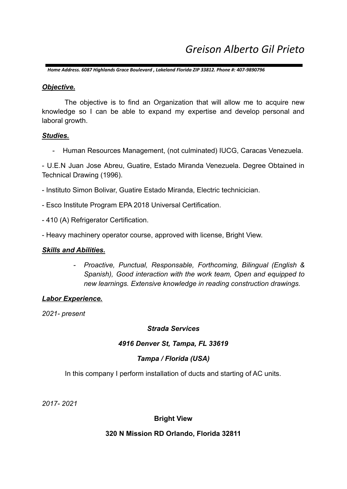*Home Address. 6087 Highlands Grace Boulevard , Lakeland Florida ZIP 33812. Phone #: 407-9890796*

#### *Objective.*

The objective is to find an Organization that will allow me to acquire new knowledge so I can be able to expand my expertise and develop personal and laboral growth.

#### *Studies.*

- Human Resources Management, (not culminated) IUCG, Caracas Venezuela.

- U.E.N Juan Jose Abreu, Guatire, Estado Miranda Venezuela. Degree Obtained in Technical Drawing (1996).

- Instituto Simon Bolivar, Guatire Estado Miranda, Electric technicician.
- Esco Institute Program EPA 2018 Universal Certification.
- 410 (A) Refrigerator Certification.
- Heavy machinery operator course, approved with license, Bright View.

### *Skills and Abilities.*

*- Proactive, Punctual, Responsable, Forthcoming, Bilingual (English & Spanish), Good interaction with the work team, Open and equipped to new learnings. Extensive knowledge in reading construction drawings.*

### *Labor Experience.*

*2021- present*

### *Strada Services*

### *4916 Denver St, Tampa, FL 33619*

# *Tampa / Florida (USA)*

In this company I perform installation of ducts and starting of AC units.

*2017- 2021*

### **Bright View**

### **320 N Mission RD Orlando, Florida 32811**